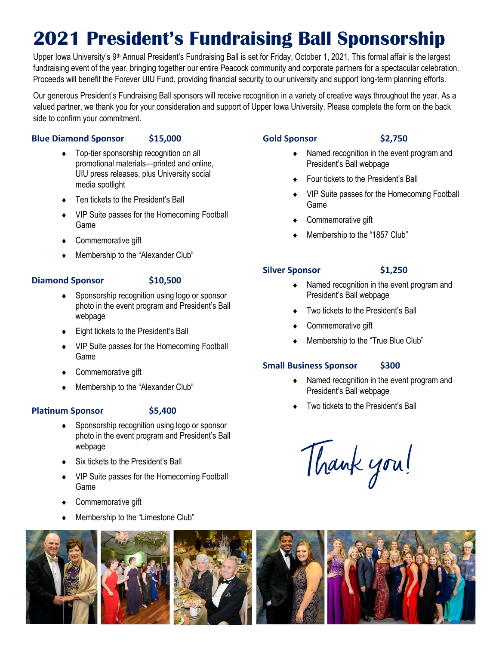# **2021 President's Fundraising Ball Sponsorship**

Upper Iowa University's 9th Annual President's Fundraising Ball is set for Friday, October 1, 2021. This formal affair is the largest fundraising event of the year, bringing together our entire Peacock community and corporate partners for a spectacular celebration. Proceeds will benefit the Forever UIU Fund, providing financial security to our university and support long-term planning efforts.

Our generous President's Fundraising Ball sponsors will receive recognition in a variety of creative ways throughout the year. As a valued partner, we thank you for your consideration and support of Upper Iowa University. Please complete the form on the back side to confirm your commitment.

### **Blue Diamond Sponsor \$15,000**

- ◆ Top-tier sponsorship recognition on all promotional materials—printed and online, UIU press releases, plus University social media spotlight
- ◆ Ten tickets to the President's Ball
- ◆ VIP Suite passes for the Homecoming Football Game
- ◆ Commemorative gift
- ◆ Membership to the "Alexander Club"

# **Diamond Sponsor \$10,500**

- Sponsorship recognition using logo or sponsor photo in the event program and President's Ball webpage
- ◆ Eight tickets to the President's Ball
- ◆ VIP Suite passes for the Homecoming Football Game
- Commemorative gift
- ◆ Membership to the "Alexander Club"

## **Platinum Sponsor \$5,400**

- Sponsorship recognition using logo or sponsor photo in the event program and President's Ball webpage
- ◆ Six tickets to the President's Ball
- ◆ VIP Suite passes for the Homecoming Football Game
- ◆ Commemorative gift
- Membership to the "Limestone Club"

## **Gold Sponsor \$2,750**

- Named recognition in the event program and President's Ball webpage
- Four tickets to the President's Ball
- VIP Suite passes for the Homecoming Football Game
- Commemorative gift
- Membership to the "1857 Club"

## **Silver Sponsor \$1,250**

- Named recognition in the event program and President's Ball webpage
- Two tickets to the President's Ball
- Commemorative gift
- Membership to the "True Blue Club"

# **Small Business Sponsor \$300**

- Named recognition in the event program and President's Ball webpage
- Two tickets to the President's Ball

Thank you!